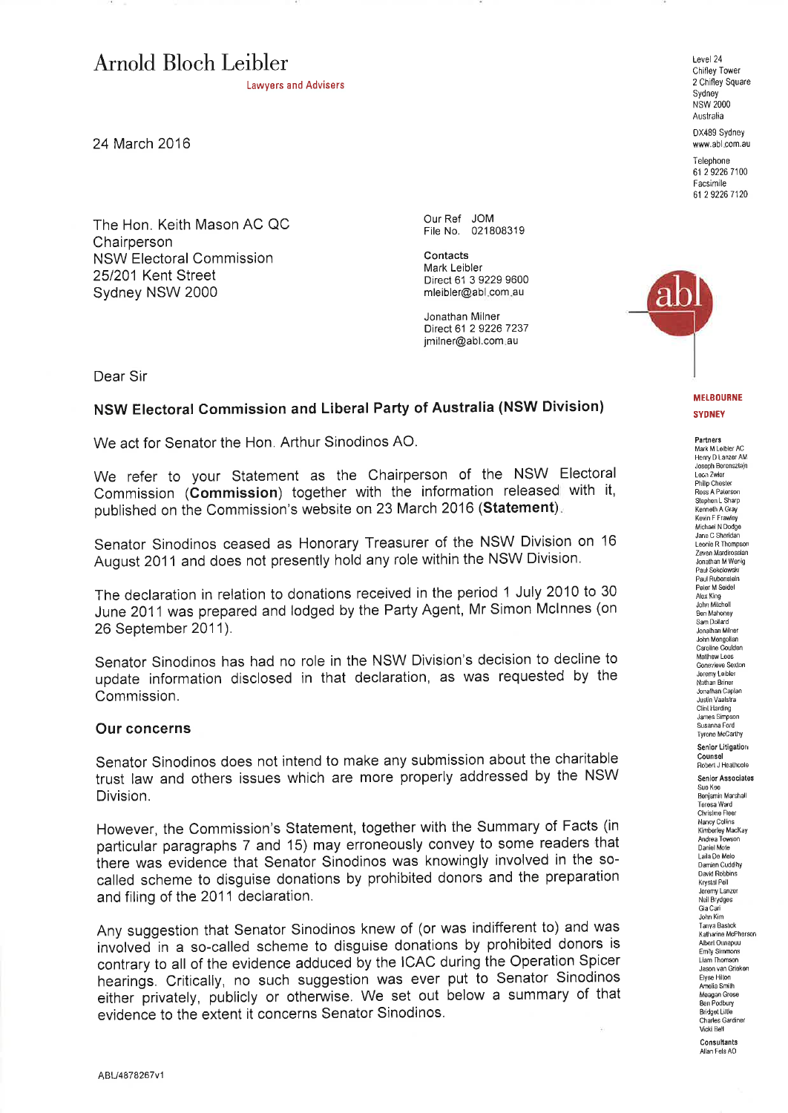# Arnold Bloch Leibler Level 24

Lawyers and Advisers

24 March 2016

The Hon. Keith Mason AC QC **Chairperson** NSW Electoral Commission 251201 Kent Street Sydney NSW 2000

Our Ref JOM Flle No. 021 80831 9

Contacts Mark Leibler Direct 61 3 9229 9600 mleibler@abl com au

Jonathan Milner Direct 61 2 9226 7237 jmilner@abl.com.au

Dear Sir

## NSW Electoral Commission and Liberal Party of Australia (NSW Division)

We act for Senator the Hon. Arthur Sinodinos AO.

We refer to your Statement as the Chairperson of the NSW Electoral Commission (Commission) together with the information released with it published on the Commission's website on 23 March 2016 (Statement).

Senator Sinodinos ceased as Honorary Treasurer of the NSW Division on '16 August 2011 and does not presently hold any role within the NSW Division.

The declaration in relation to donations received in the period 1 July 2010 to 30 June 2011 was prepared and lodged by the Party Agent, Mr Simon Mclnnes (on 26 September 2011).

Senator Sinodinos has had no role in the NSW Division's decision to decline to update information disclosed in that declaration, as was requested by the Commission.

#### Our concerns

Senator Sinodinos does not intend to make any submission about the charitable trust law and others issues which are more properly addressed by the NSW Division.

However, the Commission's Statement, together with the Summary of Facts (in particular paragraphs 7 and 15) may erroneously convey to some readers that there was evidence that Senator Sinodinos was knowingly involved in the socalled scheme to disguise donations by prohibited donors and the preparation and filing of the 2011 declaration.

Any suggestion that Senator Sinodinos knew of (or was indifferent to) and was involved in a so-called scheme to disguise donations by prohibited donors is contrary to all of the evidence adduced by the ICAC during the Operation Spicer hearings. Critically, no Such suggestion was ever put to Senator Sinodinos either þrivately, publicly or otherwise. We set out below a summary of that evidence to the extent it concerns Senator Sinodinos.

Chifley Tower 2 Chifley Square Sydney<sup>1</sup> NSW 2OOO Australia

0X489 Sydney www.abl com,au

Telephone 61 2 9226 7100 Facsimile 61 2 9226 7120



**MELBOURNE SYDNEY** 

**Partners**<br>Mark M Leibler AC Henry D Lânzer AM Joseph Eorens¿l¿jn Leon Zwier<br>Philip Chester Ross A Paterson Stephen L Shar<br>Kennoth A Gray **Kevin F Frawley** Michael N Dodge Jane C Sheridan Leonie R Thompsor<br>Zaven Mardirossian .Jonathan M Wenig Paul Sokobwslr Paul Rubenslein<br>Peler M Seidel Peler M Soide<br>Alex Kìng<br>John Milchell Ben Mahoney Sâm Dollard Jonalhan Milne<br>John Mengoliai Carolire Goulden Matlhew Læs Genevieve Sexton Jorenry Lobler Nâthan Brinor Jonalhan Caplan<br>Justin Vaalstra Justin Vââtstra Clint Harding James Simpson Susanna Ford Tyrone Mocethy Senior Litigation C**ounsel**<br>Robert J Heathcol Senior Associates Suo Kee<br>Bonjamin Marsha<br>Terosa Ward<br>Christine Fleer Nancy Collins Kimberley MacKay Andrea Towson Daniel Mote Laile Do Melo Damjên Cuddihy David Robbins Krystal Poll Jeremy Lanzer Neil Brydges<br>Gia Cari John Kim Tanya Bastick Katharine McPhersor<br>Alberl Ounapuu Emily Simmons Liam Thomson<br>Jason van Grieke Elyæ Hiltm Amlia Smilh Meagan Grose gên Podbury Bridget Lillle Charles Gardiner Vrc\*i Bell Consultants Allân Fels AO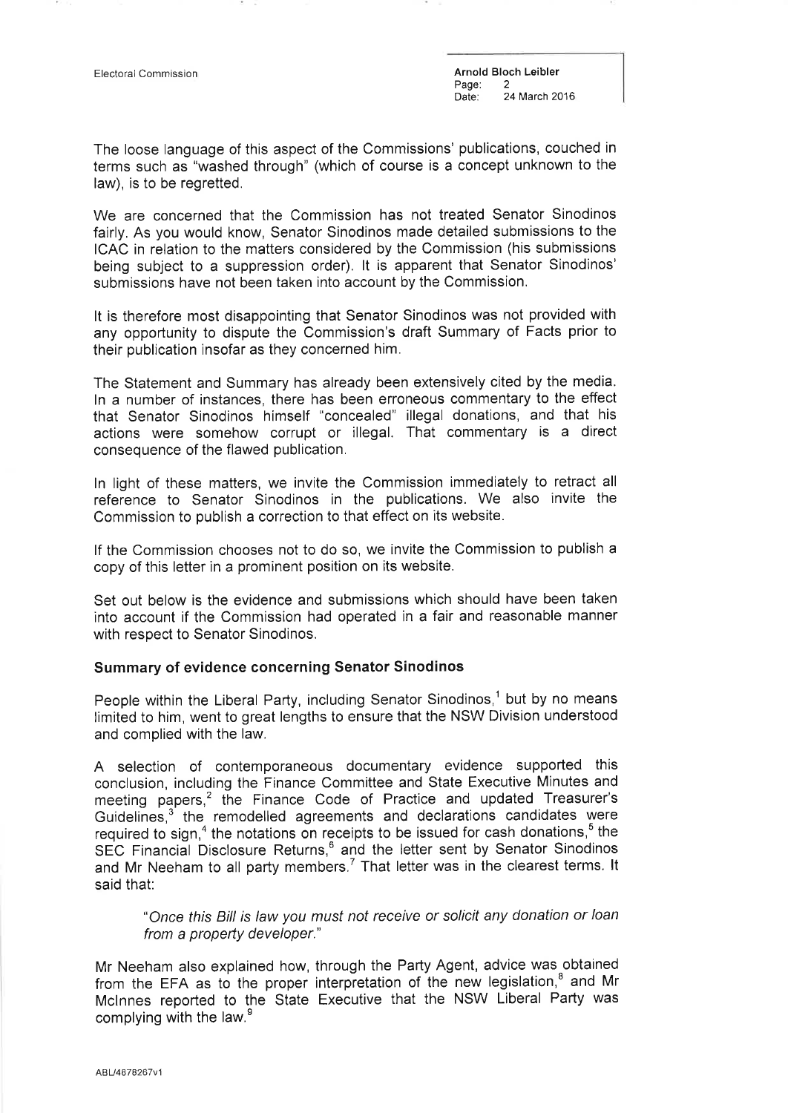Electoral Commission **Arnold Bloch Leibler**<br>
Page: 2 Page:<br>Date: 24 March 2016

The loose language of this aspect of the Commissions' publications, couched in terms such as "washed through" (which of course is a concept unknown to the law), is to be regretted.

We are concerned that the Commission has not treated Senator Sinodinos fairly. As you would know, Senator Sinodinos made detailed submissions to the ICAC in relation to the matters considered by the Commission (his submissions being subject to a suppression order). lt is apparent that Senator Sinodinos' submissions have not been taken into account by the Commission.

It is therefore most disappointing that Senator Sinodinos was not provided with any opportunity to dispute the Commission's draft Summary of Facts prior to their publication insofar as they concerned him.

The Statement and Summary has already been extensively cited by the media. ln a number of instances, there has been erroneous commentary to the effect that Senator Sinodinos himself "concealed" illegal donations, and that his actions were somehow corrupt or illegal. That commentary is a direct consequence of the flawed publication.

ln light of these matters, we invite the Commission immediately to retract all reference to Senator Sinodinos in the publications. We also invite the Commission to publish a correction to that effect on its website.

lf the Commission chooses not to do so, we invite the Commission to publish <sup>a</sup> copy of this letter in a prominent position on its website.

Set out below is the evidence and submissions which should have been taken into account if the Commission had operated in a fair and reasonable manner with respect to Senator Sinodinos.

## Summary of evidence concerning Senator Sinodinos

People within the Liberal Party, including Senator Sinodinos,<sup>1</sup> but by no means limited to him, went to great lengths to ensure that the NSW Division understood and complied with the law.

A selection of contemporaneous documentary evidence supported this conclusion, including the Finance Committee and State Executive Minutes and meeting papers,<sup>2</sup> the Finance Code of Practice and updated Treasurer's Guidelines,<sup>3</sup> the remodelled agreements and declarations candidates were required to sign,<sup>4</sup> the notations on receipts to be issued for cash donations, $\degree$  the SEC Financial Disclosure Returns,<sup>6</sup> and the letter sent by Senator Sinodinos and Mr Neeham to all party members.<sup>7</sup> That letter was in the clearest terms. It said that:

"Once this Bill is law you must not receive or solicit any donation or loan from a property developer."

Mr Neeham also explained how, through the Party Agent, advice was obtained from the EFA as to the proper interpretation of the new legislation, $<sup>8</sup>$  and Mr</sup> Mclnnes reported to the State Executive that the NSW Liberal Party was complying with the law.<sup>9</sup>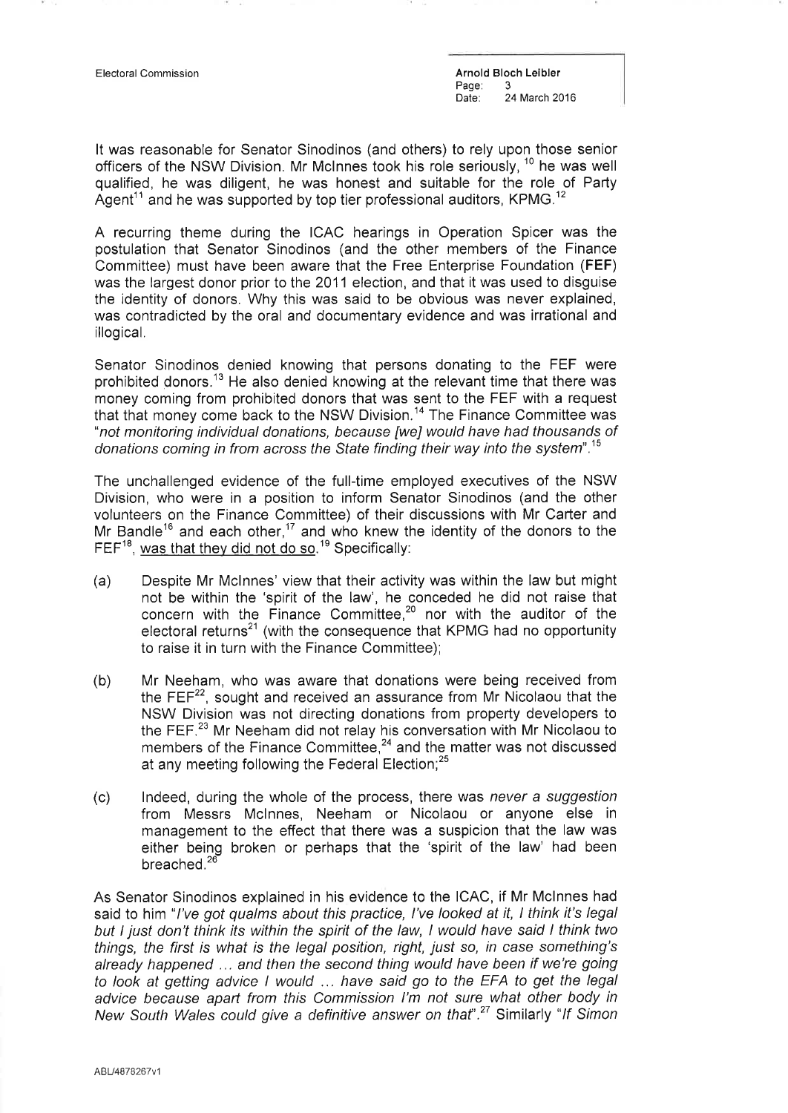Electoral Commission Arnold Bloch Leibler Page:<br>Date: 24 March 2016

It was reasonable for Senator Sinodinos (and others) to rely upon those senior officers of the NSW Division. Mr McInnes took his role seriously,  $10$  he was well qualified, he was diligent, he was honest and suitable for the role of Party Agent<sup>11</sup> and he was supported by top tier professional auditors, KPMG.<sup>12</sup>

A recurring theme during the ICAC hearings in Operation Spicer was the postulation that Senator Sinodinos (and the other members of the Finance Committee) must have been aware that the Free Enterprise Foundation (FEF) was the largest donor prior to the 2011 election, and that it was used to disguise the identity of donors. Why this was said to be obvious was never explained, was contradicted by the oral and documentary evidence and was irrational and illogical.

Senator Sinodinos denied knowing that persons donating to the FEF were prohibited donors.<sup>13</sup> He also denied knowing at the relevant time that there was money coming from prohibited donors that was sent to the FEF with a request that that money come back to the NSW Division.<sup>14</sup> The Finance Committee was "not monitoring individual donations, because [we] would have had thousands of donations coming in from across the State finding their way into the system".15

The unchallenged evidence of the full-time employed executives of the NSW Division, who were in a position to inform Senator Sinodinos (and the other volunteers on the Finance Committee) of their discussions with Mr Carter and Mr Bandle<sup>16</sup> and each other,<sup>17</sup> and who knew the identity of the donors to the FEF<sup>18</sup>, <u>was that they did not do so</u>.<sup>19</sup> Specifically

- (a) Despite Mr Mclnnes' view that their activity was within the law but might not be within the 'spirit of the law', he conceded he did not raise that concern with the Finance Committee, $20$  nor with the auditor of the electoral returns<sup>21</sup> (with the consequence that KPMG had no opportunity to raise it in turn with the Finance Committee);
- (b) Mr Neeham, who was aware that donations were being received from the  $FEF<sup>22</sup>$ , sought and received an assurance from Mr Nicolaou that the NSW Division was not directing donations from property developers to the FEF.23 Mr Neeham did not relay his conversation with Mr Nicolaou to members of the Finance Committee, $^{24}$  and the matter was not discussed at any meeting following the Federal Election;<sup>25</sup>
- (c) lndeed, during the whole of the process, there was never a suggestion from Messrs Mclnnes, Neeham or Nicolaou or anyone else in management to the effect that there was a suspicion that the law was either being broken or perhaps that the 'spirit of the law' had been breached.<sup>26</sup>

As Senator Sinodinos explained in his evidence to the ICAC, if Mr Mclnnes had said to him "*l've got qualms about this practice, l've looked at it, I think it's legal* but I just don't think its within the spirit of the law, I would have said I think two things, the first is what is the legal position, right, just so, in case something's already happened ... and then the second thing would have been if we're going to look at getting advice I would ... have said go to the EFA to get the legal advice because apart from this Commission I'm not sure what other body in New South Wales could give a definitive answer on that".<sup>27</sup> Similarly "If Simon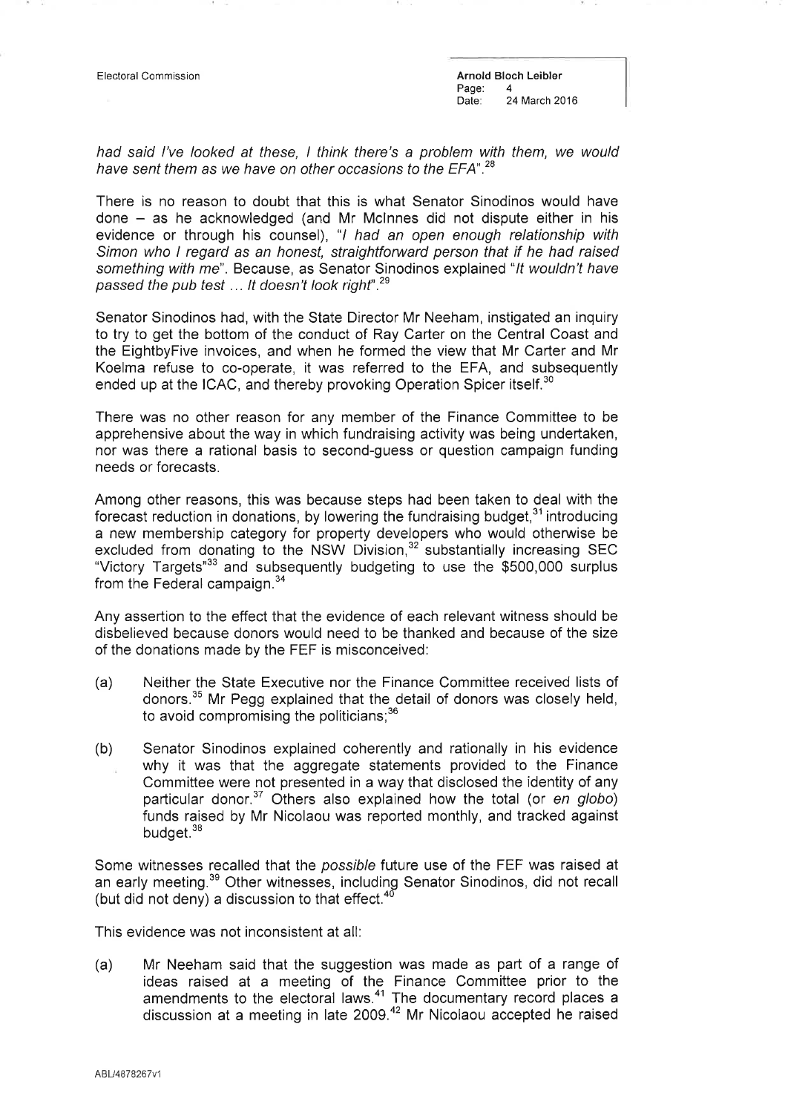Electoral Commission **Arnold Bloch Leibler** Arnold Bloch Leibler Page:<br>Date: 24 March 2016

had said I've looked at these, I think there's a problem with them, we would have sent them as we have on other occasions to the EFA".<sup>28</sup>

There is no reason to doubt that this is what Senator Sinodinos would have  $done - as he acknowledged (and Mr Mclnnes did not dispute either in his)$ evidence or through his counsel), "I had an open enough relationship with Simon who I regard as an honest, straightforward person that if he had raised something with me". Because, as Senator Sinodinos explained "It wouldn't have passed the pub test ... It doesn't look right".<sup>29</sup>

Senator Sinodinos had, with the State Director Mr Neeham, instigated an inquiry to try to get the bottom of the conduct of Ray Carter on the Central Coast and the EightbyFive invoices, and when he formed the view that Mr Carter and Mr Koelma refuse to co-operate, it was referred to the EFA, and subsequently ended up at the ICAC, and thereby provoking Operation Spicer itself.<sup>30</sup>

There was no other reason for any member of the Finance Committee to be apprehensive about the way in which fundraising activity was being undertaken, nor was there a rational basis to second-guess or question campaign funding needs or forecasts.

Among other reasons, this was because steps had been taken to deal with the forecast reduction in donations, by lowering the fundraising budget, $31$  introducing a new membership category for property developers who would otherwise be excluded from donating to the NSW Division,<sup>32</sup> substantially increasing SEC "Victory Targets"33 and subsequently budgeting to use the \$5OO,OO0 surplus from the Federal campaign.<sup>34</sup>

Any assedion to the effect that the evidence of each relevant witness should be disbelieved because donors would need to be thanked and because of the size of the donations made by the FEF is misconceived:

- (a) Neither the State Executive nor the Finance Committee received lists of donors.<sup>35</sup> Mr Pegg explained that the detail of donors was closely held, to avoid compromising the politicians;<sup>36</sup>
- (b) Senator Sinodinos explained coherently and rationally in his evidence why it was that the aggregate statements provided to the Finance Committee were not presented in a way that dìsclosed the identity of any particular donor. $37$  Others also explained how the total (or en globo) funds raised by Mr Nicolaou was reported monthly, and tracked against budget.<sup>38</sup>

Some witnesses recalled that the possible future use of the FEF was raised at an early meeting.<sup>39</sup> Other witnesses, including Senator Sinodinos, did not recall (but did not deny) a discussion to that effect. $4$ <sup>t</sup>

This evidence was not inconsistent at all:

(a) Mr Neeham said that the suggestion was made as part of a range of ideas raised at a meeting of the Finance Committee prior to the amendments to the electoral laws. $41$  The documentary record places a discussion at a meeting in late 2009.<sup>42</sup> Mr Nicolaou accepted he raised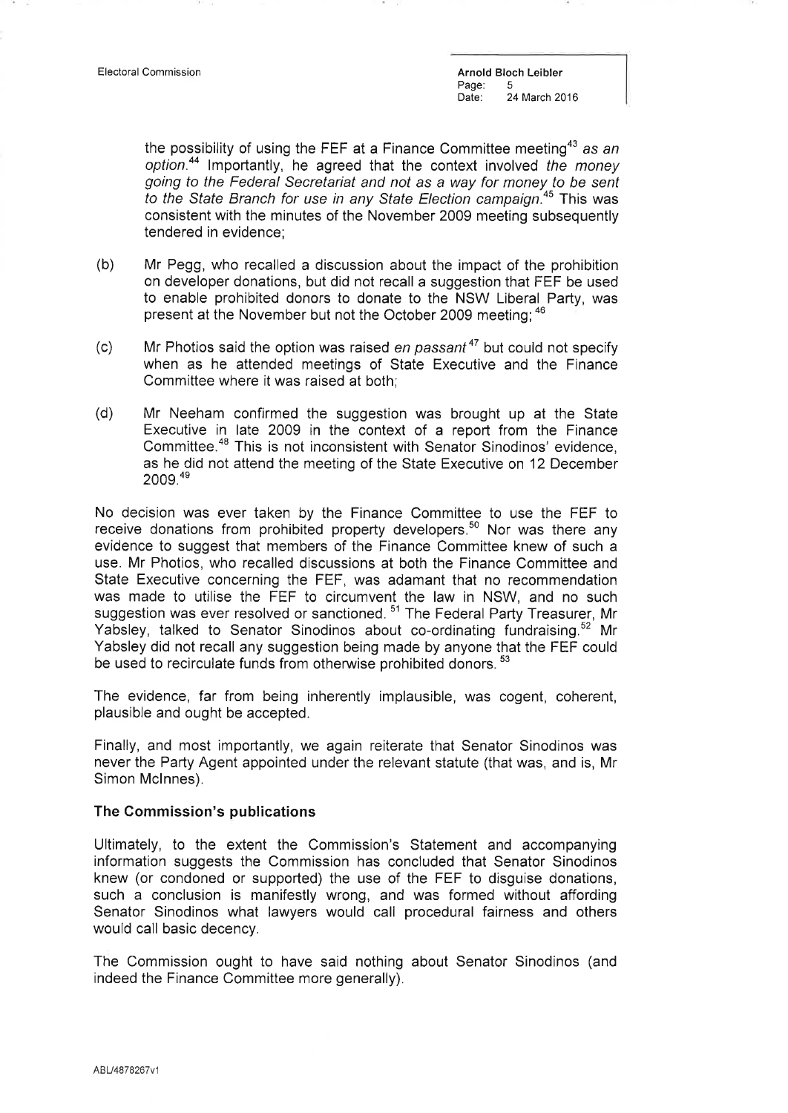Electoral Commission **Arnold Bloch Leibler**<br>
Page: 5 Page:<br>Date: 24 March 2016

the possibility of using the FEF at a Finance Committee meeting<sup>43</sup> as an option.<sup>44</sup> Importantly, he agreed that the context involved the money going to the Federal Secretariat and not as a way for money to be sent to the State Branch for use in any State Election campaign.<sup>45</sup> This was consistent with the minutes of the November 2009 meeting subsequently tendered in evidence;

- (b) Mr Pegg, who recalled a discussion about the impact of the prohibition on developer donations, but did not recall a suggestion that FEF be used to enable prohibited donors to donate to the NSW Liberal Party, was present at the November but not the October 2009 meeting; 46
- (c) Mr Photios said the option was raised en passant<sup>47</sup> but could not specify when as he attended meetings of State Executive and the Finance Committee where it was raised at both;
- (d) Mr Neeham confirmed the suggestion was brought up at the State Executive in late 2009 in the context of a report from the Finance Committee.<sup>48</sup> This is not inconsistent with Senator Sinodinos' evidence, as he did not attend the meeting of the State Executive on 12 December 2OOg.4e

No decision was ever taken by the Finance Committee to use the FEF to receive donations from prohibited property developers.<sup>50</sup> Nor was there any evidence to suggest that members of the Finance Committee knew of such <sup>a</sup> use. Mr Photios, who recalled discussions at both the Finance Committee and State Executive concerning the FEF, was adamant that no recommendation was made to utilise the FEF to circumvent the law in NSW, and no such suggestion was ever resolved or sanctioned.<sup>51</sup> The Federal Party Treasurer, Mr Yabsley, talked to Senator Sinodinos about co-ordinating fundraising.<sup>52</sup> Mr Yabsley did not recall any suggestion being made by anyone that the FEF could be used to recirculate funds from otherwise prohibited donors.<sup>53</sup>

The evidence, far from being inherently implausible, was cogent, coherent, plausible and ought be accepted.

Finally, and most importantly, we again reiterate that Senator Sinodinos was never the Party Agent appointed under the relevant statute (that was, and is, Mr Simon Mclnnes).

## The Commission's publications

Ultimately, to the extent the Commission's Statement and accompanying information suggests the Commission has concluded that Senator Sinodinos knew (or condoned or supported) the use of the FEF to disguise donations, such a conclusion is manifestly wrong, and was formed without affording Senator Sinodinos what lawyers would call procedural fairness and others would call basic decency.

The Commission ought to have said nothing about Senator Sinodinos (and indeed the Finance Committee more generally).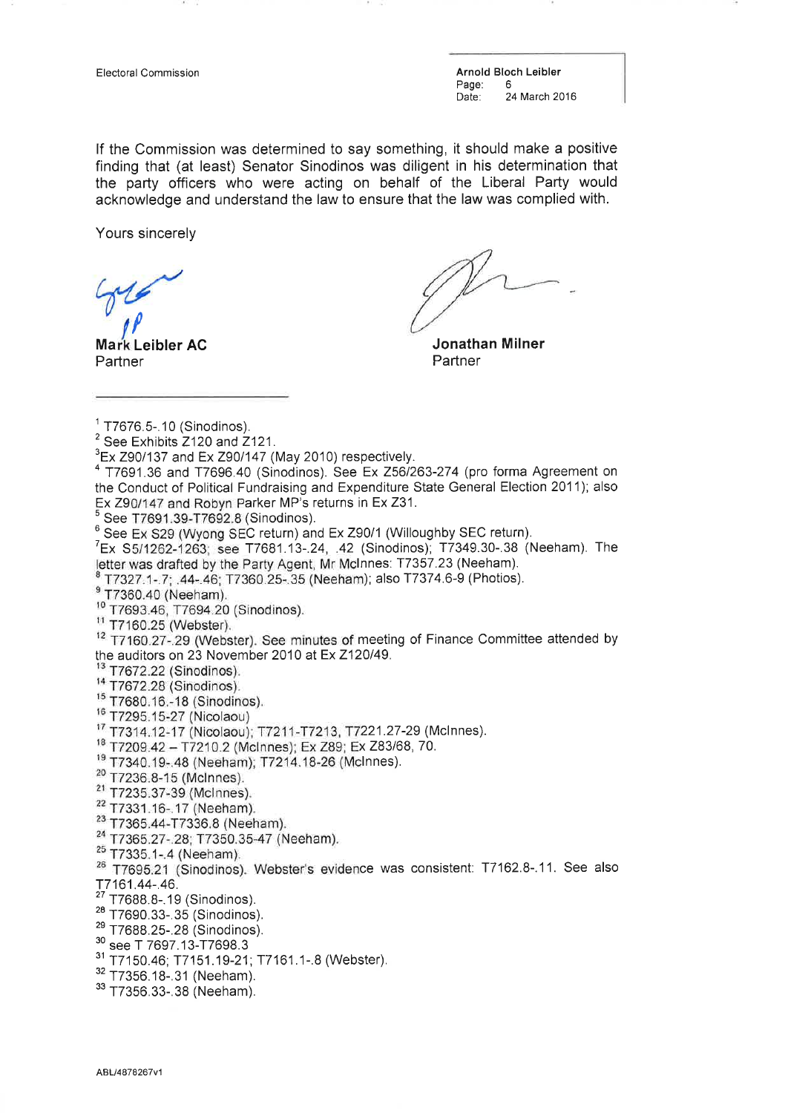Electoral Commission **Arnold Bloch Leibler**<br>
Page: 6 Page:<br>Date: 24 March 2016

lf the Commission was determined to say something, it should make a positive finding that (at least) Senator Sinodinos was diligent in his determination that the party officers who were acting on behalf of the Liberal Party would acknowledge and understand the law to ensure that the law was complied with.

Yours sincerely

f

Ma Leibler AC **Partner** 

Jonathan Milner **Partner** 

- 
- <sup>14</sup> T7672.28 (Sinodinos).
- <sup>15</sup> T7680.16.-18 (Sinodinos).
- <sup>16</sup> T7295.15-27 (Nicolaou)
- <sup>17</sup> T7314.12-17 (Nicolaou); T7211-T7213, T7221.27-29 (McInnes).
- <sup>18</sup> T7209.42 T7210.2 (McInnes); Ex Z89; Ex Z83/68, 70.
- <sup>19</sup> T7340.19-.48 (Neeham); T7214.18-26 (McInnes).
- <sup>20</sup> T7236.8-15 (McInnes).
- <sup>21</sup> T7235.37-39 (McInnes).
- <sup>22</sup> T7331.16-.17 (Neeham).
- <sup>23</sup> T7365.44-T7336.8 (Neeham).
- <sup>24</sup> T7365.27-.28; T7350.35-47 (Neeham).
- <sup>25</sup> T7335.1-.4 (Neeham).
- <sup>26</sup> T7695.21 (Sinodinos). Webster's evidence was consistent: T7162.8-.11. See also -r7161.44-.46.
- <sup>27</sup> T7688.8-.19 (Sinodinos).
- $28$  T7690.33-.35 (Sinodinos).
- $^{29}$  T7688.25-.28 (Sinodinos).<br> $^{30}$  see T 7697.13-T7698.3
- 
- <sup>31</sup> T7150.46; T7151.19-21; T7161.1-.8 (Webster).<br><sup>32</sup> T7356.18-.31 (Neeham). <sup>33</sup> T7356.33-.38 (Neeham).
- 
- 

 $1$  T7676.5-.10 (Sinodinos).

 $2$  See Exhibits  $2120$  and  $2121$ .

 $3$ Ex Z90/137 and Ex Z90/147 (May 2010) respectively.

<sup>&</sup>lt;sup>4</sup> T7691.36 and T7696.40 (Sinodinos). See Ex Z56/263-274 (pro forma Agreement on the Conduct of Political Fundraising and Expenditure State General Election 2011); also Ex Z90/147 and Robyn Parker MP's returns in Ex Z31.

 $5$  See T7691.39-T7692.8 (Sinodinos).

<sup>&</sup>lt;sup>6</sup> See Ex S29 (Wyong SEC return) and Ex Z90/1 (Willoughby SEC return).<br><sup>7</sup>Ex S5/1262-1263; see T7681.13-.24, .42 (Sinodinos); T7349.30-.38 (Neeham). The letter was drafted by the Party Agent, Mr McInnes: T7357.23 (Neeham).

T7327.1-.7; .44-.46; T7360.25-.35 (Neeham); also T7374.6-9 (Photios).

<sup>&</sup>lt;sup>9</sup> T7360.40 (Neeham).

<sup>&</sup>lt;sup>10</sup> T7693.46, T7694.20 (Sinodinos).

<sup>&</sup>lt;sup>11</sup> T7160.25 (Webster).

<sup>&</sup>lt;sup>12</sup> T7160.27-.29 (Webster). See minutes of meeting of Finance Committee attended by the auditors on 23 November 2010 at Ex Z120/49.<br> $13$  T7672.22 (Sinodinos).